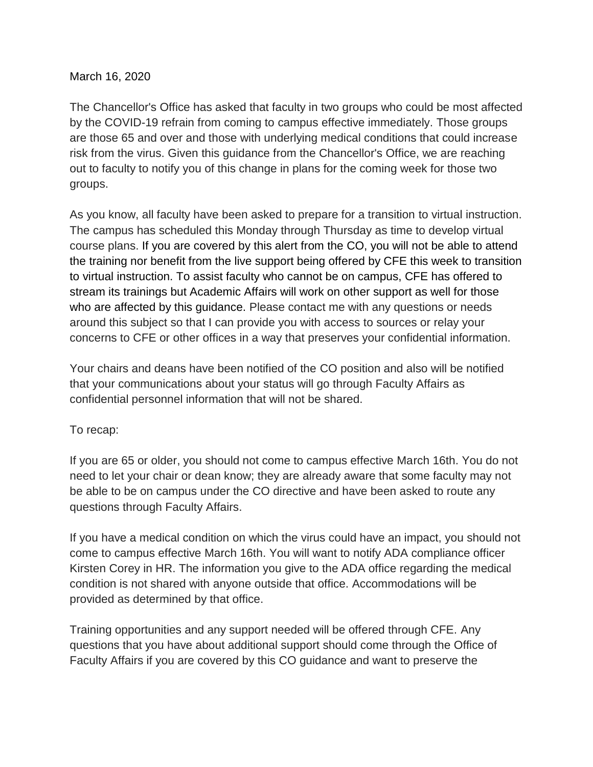## March 16, 2020

The Chancellor's Office has asked that faculty in two groups who could be most affected by the COVID-19 refrain from coming to campus effective immediately. Those groups are those 65 and over and those with underlying medical conditions that could increase risk from the virus. Given this guidance from the Chancellor's Office, we are reaching out to faculty to notify you of this change in plans for the coming week for those two groups.

As you know, all faculty have been asked to prepare for a transition to virtual instruction. The campus has scheduled this Monday through Thursday as time to develop virtual course plans. If you are covered by this alert from the CO, you will not be able to attend the training nor benefit from the live support being offered by CFE this week to transition to virtual instruction. To assist faculty who cannot be on campus, CFE has offered to stream its trainings but Academic Affairs will work on other support as well for those who are affected by this guidance. Please contact me with any questions or needs around this subject so that I can provide you with access to sources or relay your concerns to CFE or other offices in a way that preserves your confidential information.

Your chairs and deans have been notified of the CO position and also will be notified that your communications about your status will go through Faculty Affairs as confidential personnel information that will not be shared.

## To recap:

If you are 65 or older, you should not come to campus effective March 16th. You do not need to let your chair or dean know; they are already aware that some faculty may not be able to be on campus under the CO directive and have been asked to route any questions through Faculty Affairs.

If you have a medical condition on which the virus could have an impact, you should not come to campus effective March 16th. You will want to notify ADA compliance officer Kirsten Corey in HR. The information you give to the ADA office regarding the medical condition is not shared with anyone outside that office. Accommodations will be provided as determined by that office.

Training opportunities and any support needed will be offered through CFE. Any questions that you have about additional support should come through the Office of Faculty Affairs if you are covered by this CO guidance and want to preserve the